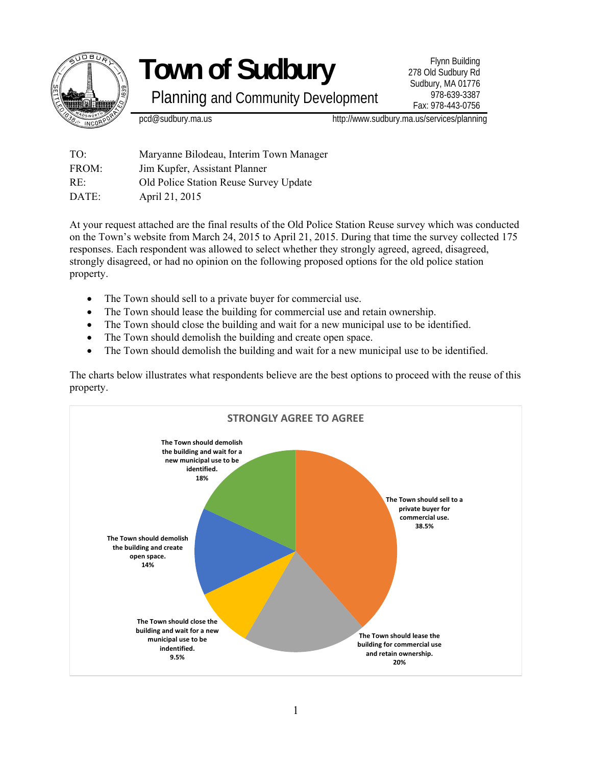

Planning and Community Development

Flynn Building 278 Old Sudbury Rd Sudbury, MA 01776 978-639-3387 Fax: 978-443-0756

pcd@sudbury.ma.us http://www.sudbury.ma.us/services/planning

TO: Maryanne Bilodeau, Interim Town Manager FROM: Jim Kupfer, Assistant Planner RE: Old Police Station Reuse Survey Update DATE: April 21, 2015

At your request attached are the final results of the Old Police Station Reuse survey which was conducted on the Town's website from March 24, 2015 to April 21, 2015. During that time the survey collected 175 responses. Each respondent was allowed to select whether they strongly agreed, agreed, disagreed, strongly disagreed, or had no opinion on the following proposed options for the old police station property.

- The Town should sell to a private buyer for commercial use.
- The Town should lease the building for commercial use and retain ownership.
- The Town should close the building and wait for a new municipal use to be identified.
- The Town should demolish the building and create open space.
- The Town should demolish the building and wait for a new municipal use to be identified.

The charts below illustrates what respondents believe are the best options to proceed with the reuse of this property.

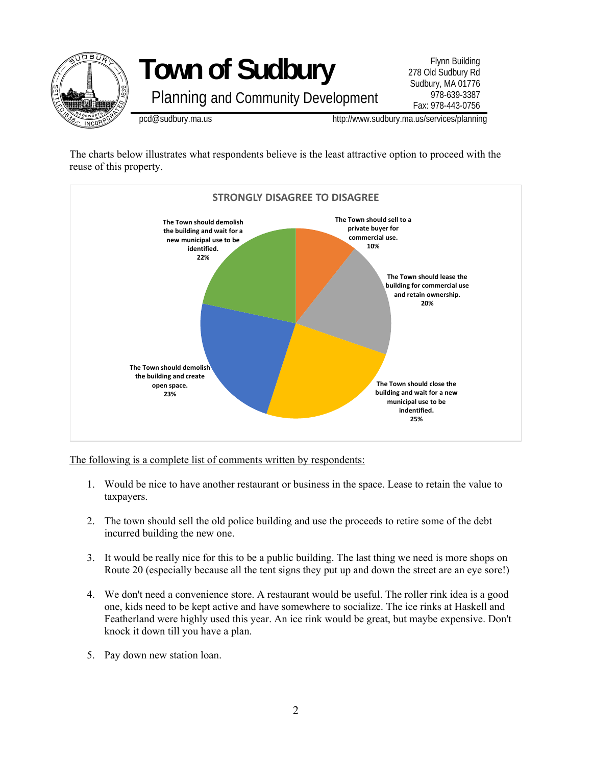

The charts below illustrates what respondents believe is the least attractive option to proceed with the reuse of this property.



The following is a complete list of comments written by respondents:

- 1. Would be nice to have another restaurant or business in the space. Lease to retain the value to taxpayers.
- 2. The town should sell the old police building and use the proceeds to retire some of the debt incurred building the new one.
- 3. It would be really nice for this to be a public building. The last thing we need is more shops on Route 20 (especially because all the tent signs they put up and down the street are an eye sore!)
- 4. We don't need a convenience store. A restaurant would be useful. The roller rink idea is a good one, kids need to be kept active and have somewhere to socialize. The ice rinks at Haskell and Featherland were highly used this year. An ice rink would be great, but maybe expensive. Don't knock it down till you have a plan.
- 5. Pay down new station loan.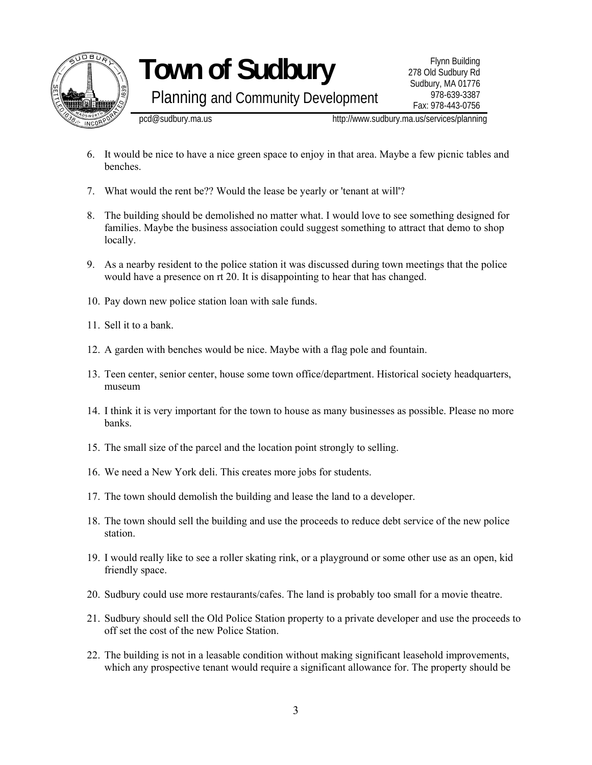

Planning and Community Development

Flynn Building 278 Old Sudbury Rd Sudbury, MA 01776 978-639-3387 Fax: 978-443-0756

pcd@sudbury.ma.us http://www.sudbury.ma.us/services/planning

- 6. It would be nice to have a nice green space to enjoy in that area. Maybe a few picnic tables and benches.
- 7. What would the rent be?? Would the lease be yearly or 'tenant at will'?
- 8. The building should be demolished no matter what. I would love to see something designed for families. Maybe the business association could suggest something to attract that demo to shop locally.
- 9. As a nearby resident to the police station it was discussed during town meetings that the police would have a presence on rt 20. It is disappointing to hear that has changed.
- 10. Pay down new police station loan with sale funds.
- 11. Sell it to a bank.
- 12. A garden with benches would be nice. Maybe with a flag pole and fountain.
- 13. Teen center, senior center, house some town office/department. Historical society headquarters, museum
- 14. I think it is very important for the town to house as many businesses as possible. Please no more banks.
- 15. The small size of the parcel and the location point strongly to selling.
- 16. We need a New York deli. This creates more jobs for students.
- 17. The town should demolish the building and lease the land to a developer.
- 18. The town should sell the building and use the proceeds to reduce debt service of the new police station.
- 19. I would really like to see a roller skating rink, or a playground or some other use as an open, kid friendly space.
- 20. Sudbury could use more restaurants/cafes. The land is probably too small for a movie theatre.
- 21. Sudbury should sell the Old Police Station property to a private developer and use the proceeds to off set the cost of the new Police Station.
- 22. The building is not in a leasable condition without making significant leasehold improvements, which any prospective tenant would require a significant allowance for. The property should be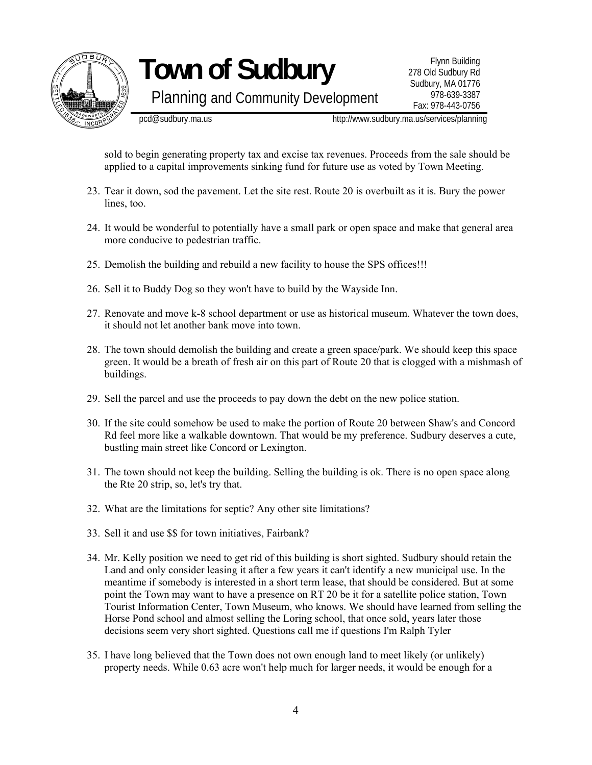

Planning and Community Development

Flynn Building 278 Old Sudbury Rd Sudbury, MA 01776 978-639-3387 Fax: 978-443-0756

pcd@sudbury.ma.us http://www.sudbury.ma.us/services/planning

sold to begin generating property tax and excise tax revenues. Proceeds from the sale should be applied to a capital improvements sinking fund for future use as voted by Town Meeting.

- 23. Tear it down, sod the pavement. Let the site rest. Route 20 is overbuilt as it is. Bury the power lines, too.
- 24. It would be wonderful to potentially have a small park or open space and make that general area more conducive to pedestrian traffic.
- 25. Demolish the building and rebuild a new facility to house the SPS offices!!!
- 26. Sell it to Buddy Dog so they won't have to build by the Wayside Inn.
- 27. Renovate and move k-8 school department or use as historical museum. Whatever the town does, it should not let another bank move into town.
- 28. The town should demolish the building and create a green space/park. We should keep this space green. It would be a breath of fresh air on this part of Route 20 that is clogged with a mishmash of buildings.
- 29. Sell the parcel and use the proceeds to pay down the debt on the new police station.
- 30. If the site could somehow be used to make the portion of Route 20 between Shaw's and Concord Rd feel more like a walkable downtown. That would be my preference. Sudbury deserves a cute, bustling main street like Concord or Lexington.
- 31. The town should not keep the building. Selling the building is ok. There is no open space along the Rte 20 strip, so, let's try that.
- 32. What are the limitations for septic? Any other site limitations?
- 33. Sell it and use \$\$ for town initiatives, Fairbank?
- 34. Mr. Kelly position we need to get rid of this building is short sighted. Sudbury should retain the Land and only consider leasing it after a few years it can't identify a new municipal use. In the meantime if somebody is interested in a short term lease, that should be considered. But at some point the Town may want to have a presence on RT 20 be it for a satellite police station, Town Tourist Information Center, Town Museum, who knows. We should have learned from selling the Horse Pond school and almost selling the Loring school, that once sold, years later those decisions seem very short sighted. Questions call me if questions I'm Ralph Tyler
- 35. I have long believed that the Town does not own enough land to meet likely (or unlikely) property needs. While 0.63 acre won't help much for larger needs, it would be enough for a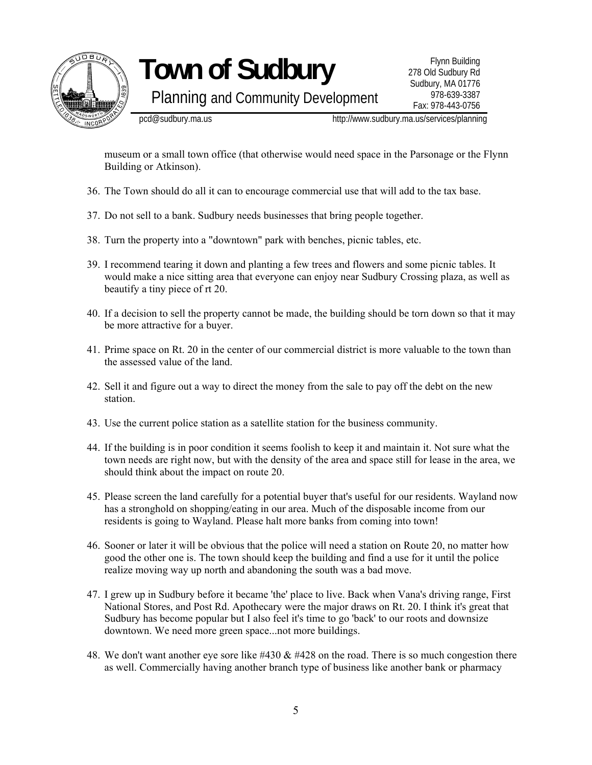

Planning and Community Development

Flynn Building 278 Old Sudbury Rd Sudbury, MA 01776 978-639-3387 Fax: 978-443-0756

pcd@sudbury.ma.us http://www.sudbury.ma.us/services/planning

museum or a small town office (that otherwise would need space in the Parsonage or the Flynn Building or Atkinson).

- 36. The Town should do all it can to encourage commercial use that will add to the tax base.
- 37. Do not sell to a bank. Sudbury needs businesses that bring people together.
- 38. Turn the property into a "downtown" park with benches, picnic tables, etc.
- 39. I recommend tearing it down and planting a few trees and flowers and some picnic tables. It would make a nice sitting area that everyone can enjoy near Sudbury Crossing plaza, as well as beautify a tiny piece of rt 20.
- 40. If a decision to sell the property cannot be made, the building should be torn down so that it may be more attractive for a buyer.
- 41. Prime space on Rt. 20 in the center of our commercial district is more valuable to the town than the assessed value of the land.
- 42. Sell it and figure out a way to direct the money from the sale to pay off the debt on the new station.
- 43. Use the current police station as a satellite station for the business community.
- 44. If the building is in poor condition it seems foolish to keep it and maintain it. Not sure what the town needs are right now, but with the density of the area and space still for lease in the area, we should think about the impact on route 20.
- 45. Please screen the land carefully for a potential buyer that's useful for our residents. Wayland now has a stronghold on shopping/eating in our area. Much of the disposable income from our residents is going to Wayland. Please halt more banks from coming into town!
- 46. Sooner or later it will be obvious that the police will need a station on Route 20, no matter how good the other one is. The town should keep the building and find a use for it until the police realize moving way up north and abandoning the south was a bad move.
- 47. I grew up in Sudbury before it became 'the' place to live. Back when Vana's driving range, First National Stores, and Post Rd. Apothecary were the major draws on Rt. 20. I think it's great that Sudbury has become popular but I also feel it's time to go 'back' to our roots and downsize downtown. We need more green space...not more buildings.
- 48. We don't want another eye sore like #430  $\&$  #428 on the road. There is so much congestion there as well. Commercially having another branch type of business like another bank or pharmacy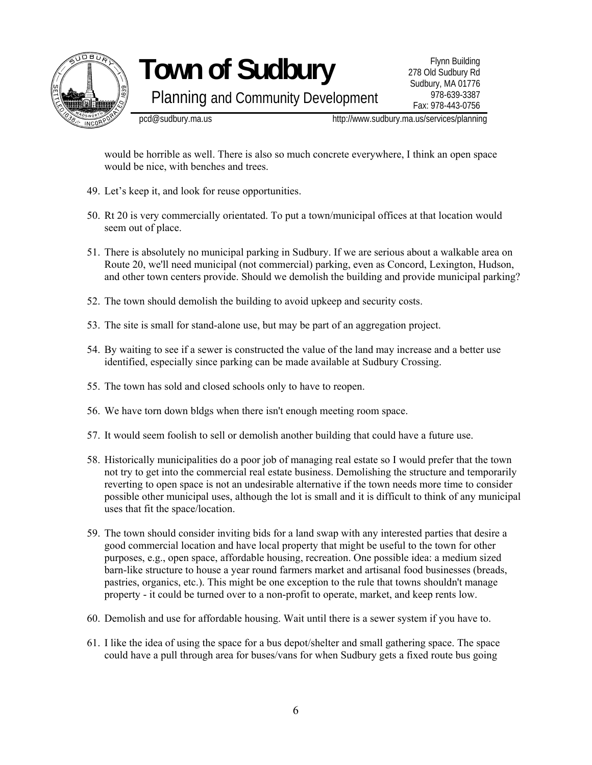

Planning and Community Development

Flynn Building 278 Old Sudbury Rd Sudbury, MA 01776 978-639-3387 Fax: 978-443-0756

pcd@sudbury.ma.us http://www.sudbury.ma.us/services/planning

would be horrible as well. There is also so much concrete everywhere, I think an open space would be nice, with benches and trees.

- 49. Let's keep it, and look for reuse opportunities.
- 50. Rt 20 is very commercially orientated. To put a town/municipal offices at that location would seem out of place.
- 51. There is absolutely no municipal parking in Sudbury. If we are serious about a walkable area on Route 20, we'll need municipal (not commercial) parking, even as Concord, Lexington, Hudson, and other town centers provide. Should we demolish the building and provide municipal parking?
- 52. The town should demolish the building to avoid upkeep and security costs.
- 53. The site is small for stand-alone use, but may be part of an aggregation project.
- 54. By waiting to see if a sewer is constructed the value of the land may increase and a better use identified, especially since parking can be made available at Sudbury Crossing.
- 55. The town has sold and closed schools only to have to reopen.
- 56. We have torn down bldgs when there isn't enough meeting room space.
- 57. It would seem foolish to sell or demolish another building that could have a future use.
- 58. Historically municipalities do a poor job of managing real estate so I would prefer that the town not try to get into the commercial real estate business. Demolishing the structure and temporarily reverting to open space is not an undesirable alternative if the town needs more time to consider possible other municipal uses, although the lot is small and it is difficult to think of any municipal uses that fit the space/location.
- 59. The town should consider inviting bids for a land swap with any interested parties that desire a good commercial location and have local property that might be useful to the town for other purposes, e.g., open space, affordable housing, recreation. One possible idea: a medium sized barn-like structure to house a year round farmers market and artisanal food businesses (breads, pastries, organics, etc.). This might be one exception to the rule that towns shouldn't manage property - it could be turned over to a non-profit to operate, market, and keep rents low.
- 60. Demolish and use for affordable housing. Wait until there is a sewer system if you have to.
- 61. I like the idea of using the space for a bus depot/shelter and small gathering space. The space could have a pull through area for buses/vans for when Sudbury gets a fixed route bus going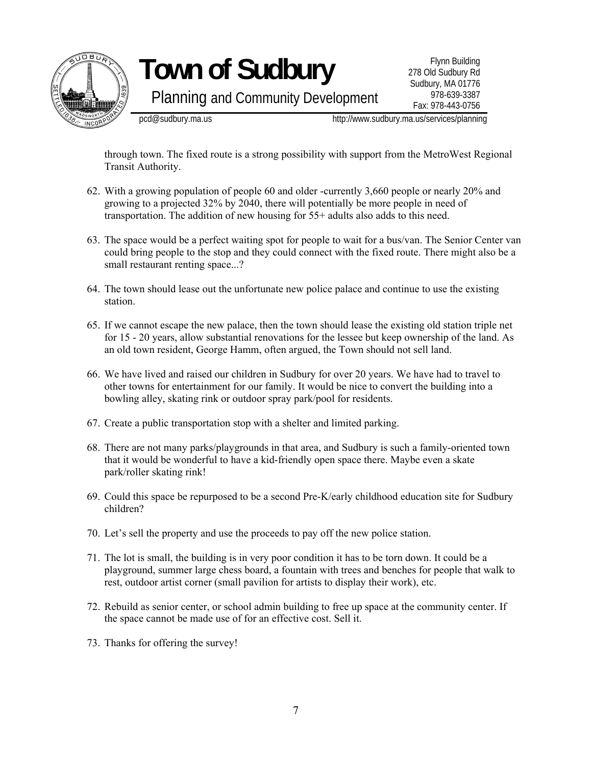

Planning and Community Development

Flynn Building 278 Old Sudbury Rd Sudbury, MA 01776 978-639-3387 Fax: 978-443-0756

pcd@sudbury.ma.us http://www.sudbury.ma.us/services/planning

through town. The fixed route is a strong possibility with support from the MetroWest Regional Transit Authority.

- 62. With a growing population of people 60 and older -currently 3,660 people or nearly 20% and growing to a projected 32% by 2040, there will potentially be more people in need of transportation. The addition of new housing for 55+ adults also adds to this need.
- 63. The space would be a perfect waiting spot for people to wait for a bus/van. The Senior Center van could bring people to the stop and they could connect with the fixed route. There might also be a small restaurant renting space...?
- 64. The town should lease out the unfortunate new police palace and continue to use the existing station.
- 65. If we cannot escape the new palace, then the town should lease the existing old station triple net for 15 - 20 years, allow substantial renovations for the lessee but keep ownership of the land. As an old town resident, George Hamm, often argued, the Town should not sell land.
- 66. We have lived and raised our children in Sudbury for over 20 years. We have had to travel to other towns for entertainment for our family. It would be nice to convert the building into a bowling alley, skating rink or outdoor spray park/pool for residents.
- 67. Create a public transportation stop with a shelter and limited parking.
- 68. There are not many parks/playgrounds in that area, and Sudbury is such a family-oriented town that it would be wonderful to have a kid-friendly open space there. Maybe even a skate park/roller skating rink!
- 69. Could this space be repurposed to be a second Pre-K/early childhood education site for Sudbury children?
- 70. Let's sell the property and use the proceeds to pay off the new police station.
- 71. The lot is small, the building is in very poor condition it has to be torn down. It could be a playground, summer large chess board, a fountain with trees and benches for people that walk to rest, outdoor artist corner (small pavilion for artists to display their work), etc.
- 72. Rebuild as senior center, or school admin building to free up space at the community center. If the space cannot be made use of for an effective cost. Sell it.
- 73. Thanks for offering the survey!